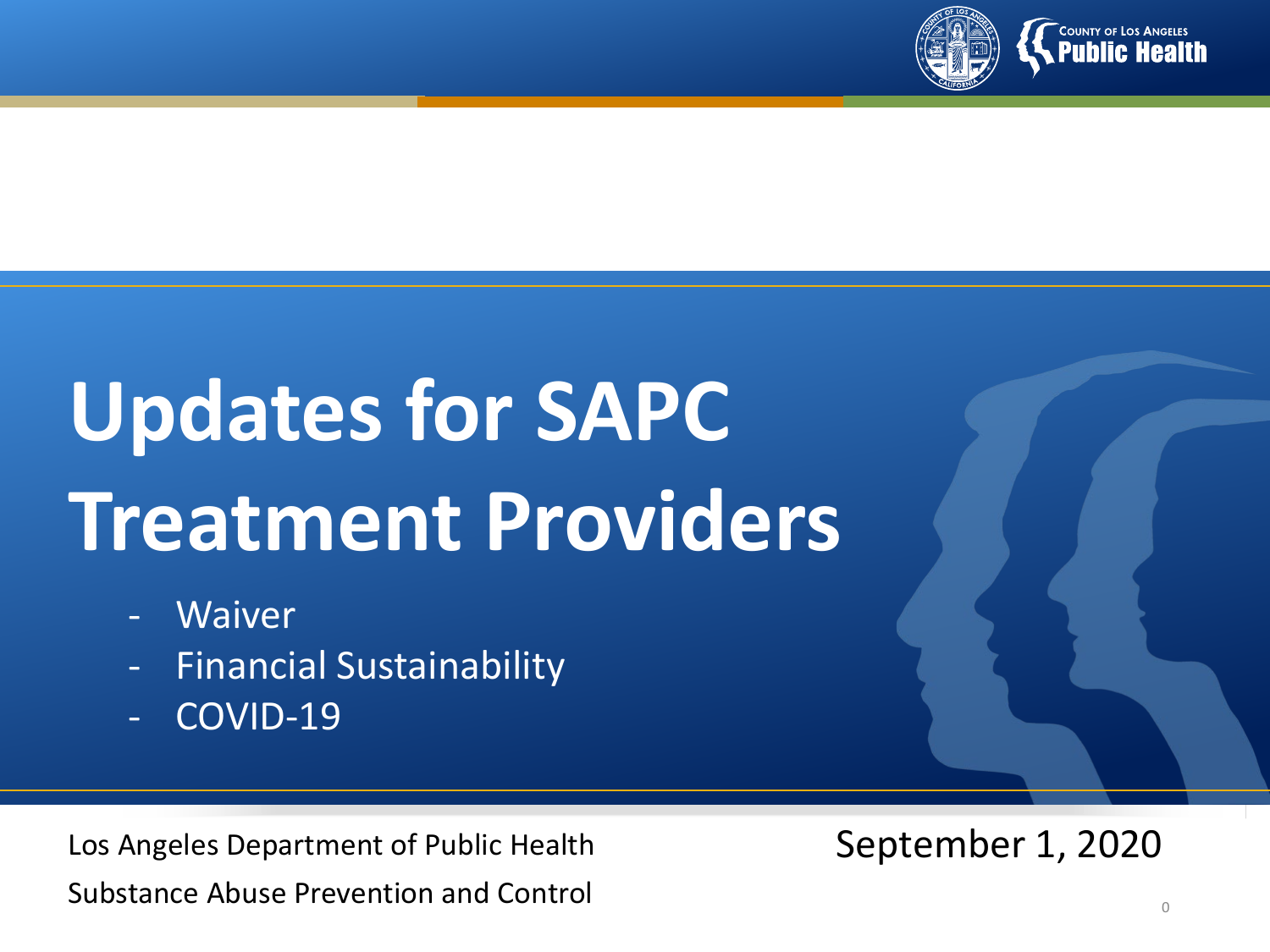

# **Updates for SAPC Treatment Providers**

- **Waiver**
- Financial Sustainability
- COVID-19

Los Angeles Department of Public Health Substance Abuse Prevention and Control

September 1, 2020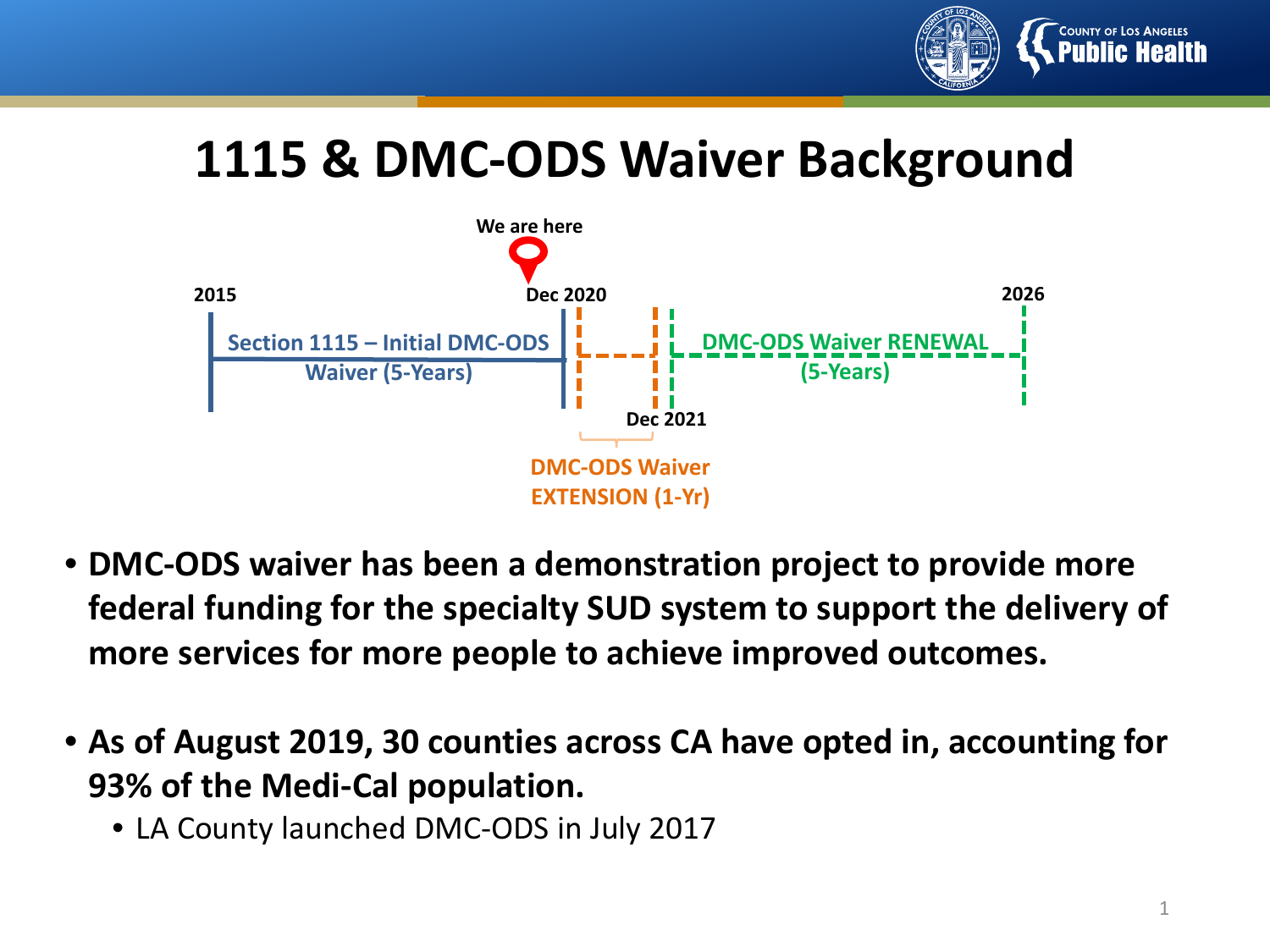

## **1115 & DMC-ODS Waiver Background**



- **DMC-ODS waiver has been a demonstration project to provide more federal funding for the specialty SUD system to support the delivery of more services for more people to achieve improved outcomes.**
- **As of August 2019, 30 counties across CA have opted in, accounting for 93% of the Medi-Cal population.**
	- LA County launched DMC-ODS in July 2017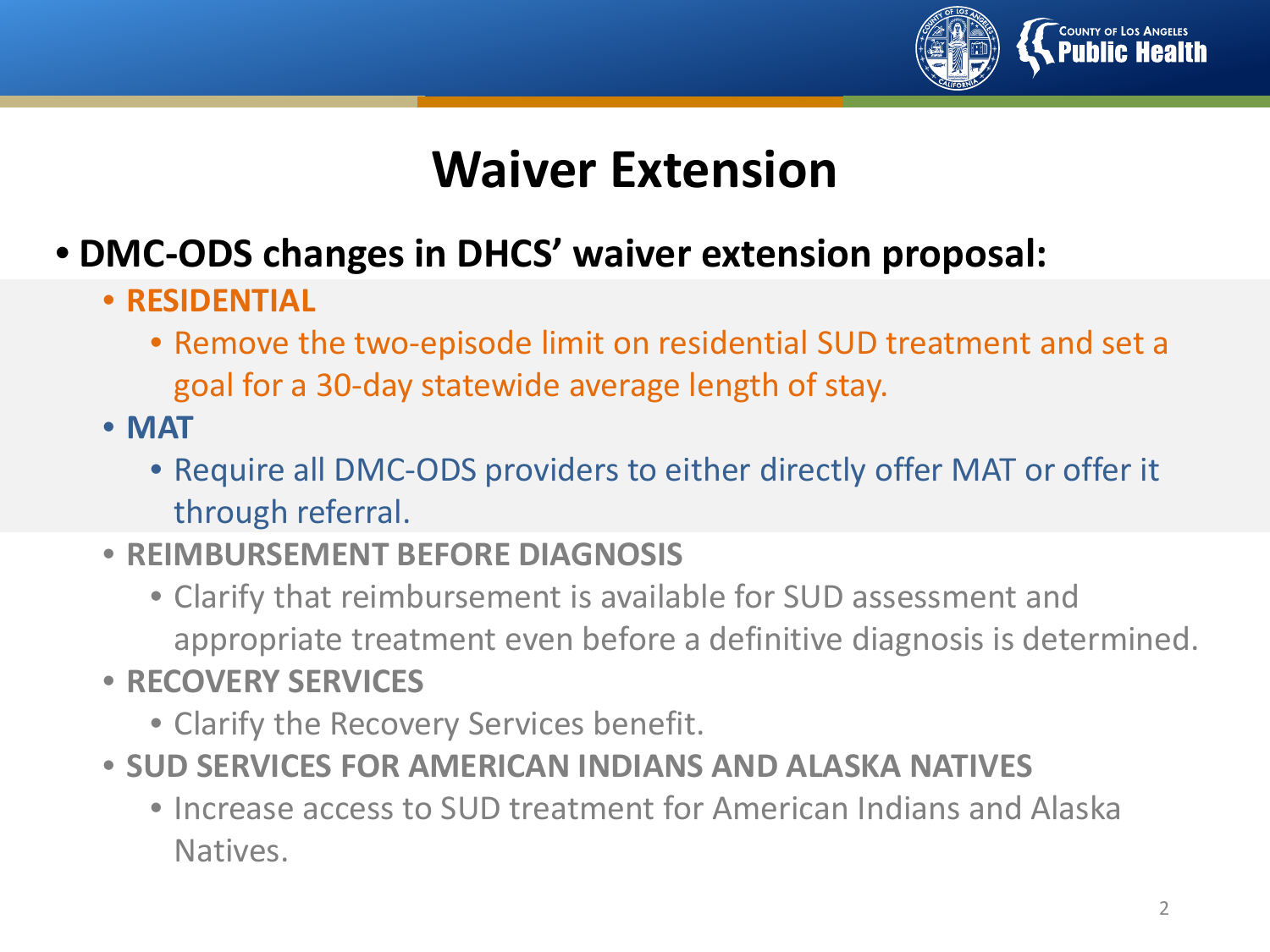

# **Waiver Extension**

- **DMC-ODS changes in DHCS' waiver extension proposal:**
	- **RESIDENTIAL**
		- Remove the two-episode limit on residential SUD treatment and set a goal for a 30-day statewide average length of stay.
	- **MAT**
		- Require all DMC-ODS providers to either directly offer MAT or offer it through referral.
	- **REIMBURSEMENT BEFORE DIAGNOSIS**
		- Clarify that reimbursement is available for SUD assessment and appropriate treatment even before a definitive diagnosis is determined.
	- **RECOVERY SERVICES**
		- Clarify the Recovery Services benefit.
	- **SUD SERVICES FOR AMERICAN INDIANS AND ALASKA NATIVES**
		- Increase access to SUD treatment for American Indians and Alaska Natives.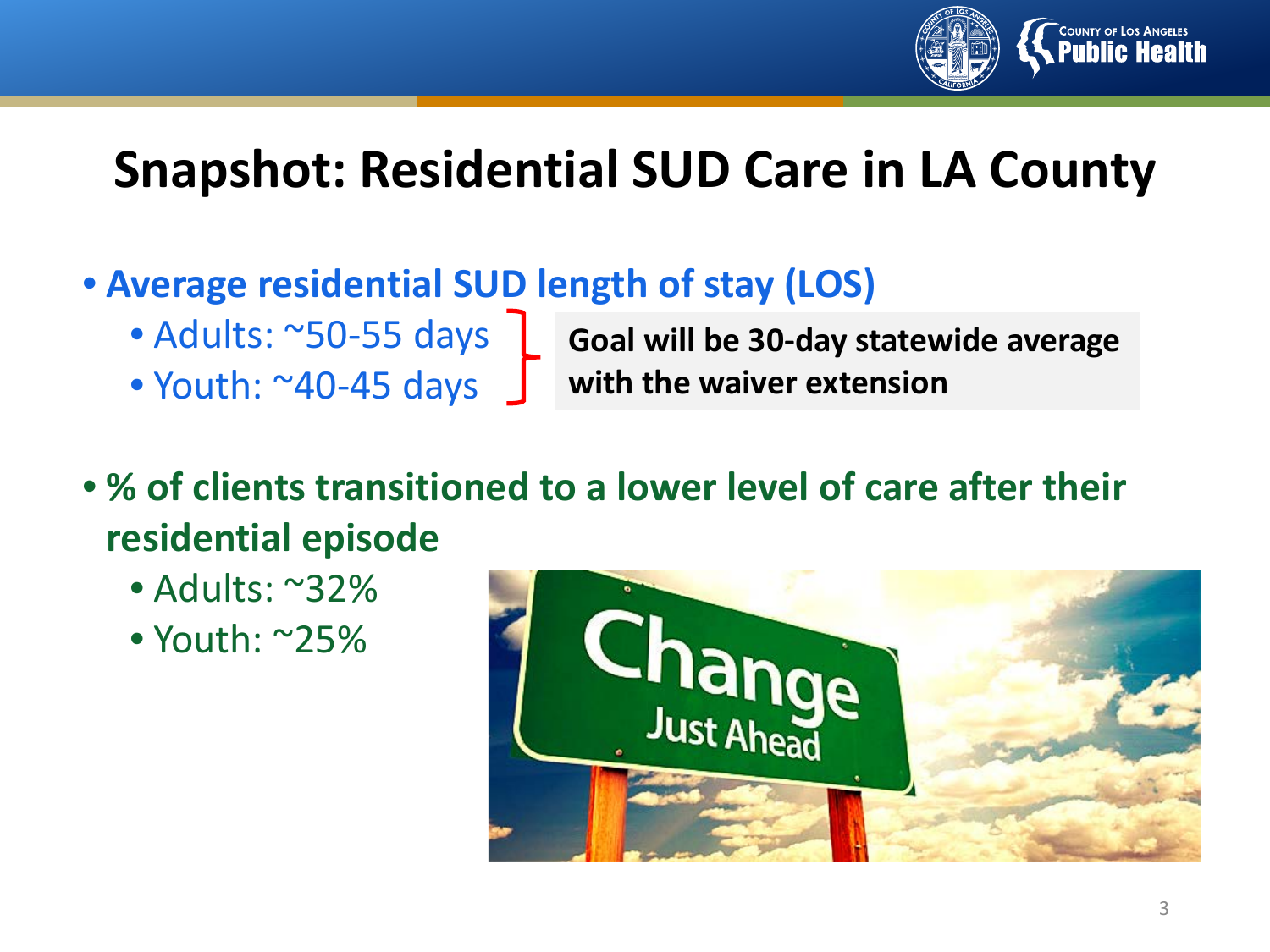

# **Snapshot: Residential SUD Care in LA County**

- **Average residential SUD length of stay (LOS)**
	- Adults: ~50-55 days
	- Youth: ~40-45 days
- **Goal will be 30-day statewide average with the waiver extension**
- **% of clients transitioned to a lower level of care after their residential episode**
	- Adults: ~32%
	- Youth: ~25%

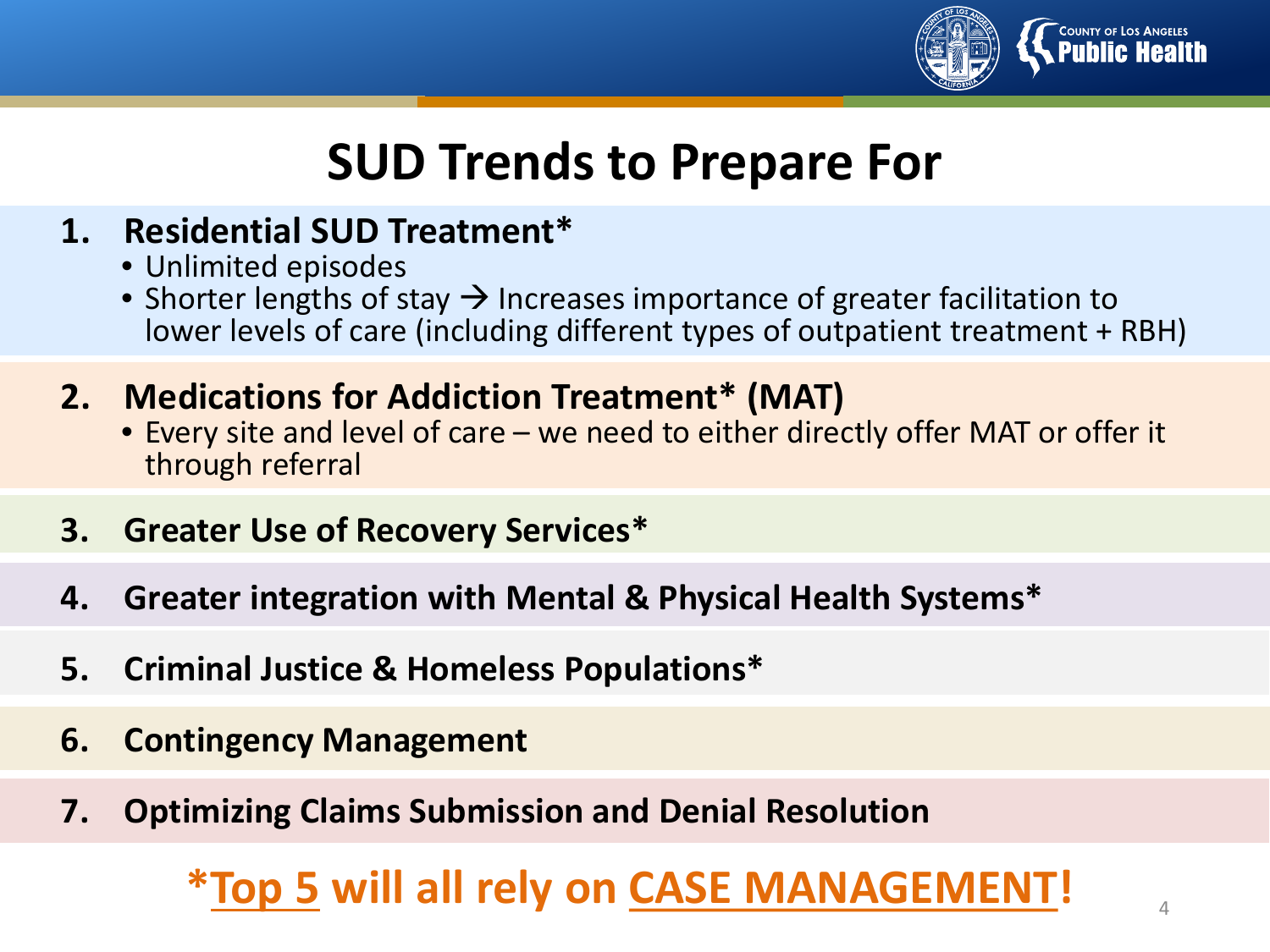

# **SUD Trends to Prepare For**

## **1. Residential SUD Treatment\***

- Unlimited episodes
- Shorter lengths of stay  $\rightarrow$  Increases importance of greater facilitation to lower levels of care (including different types of outpatient treatment + RBH)
- **2. Medications for Addiction Treatment\* (MAT)**
	- Every site and level of care we need to either directly offer MAT or offer it through referral
- **3. Greater Use of Recovery Services\***
- **4. Greater integration with Mental & Physical Health Systems\***
- **5. Criminal Justice & Homeless Populations\***
- **6. Contingency Management**
- **7. Optimizing Claims Submission and Denial Resolution**

## **\*Top 5 will all rely on CASE MANAGEMENT** <sup>4</sup> **!**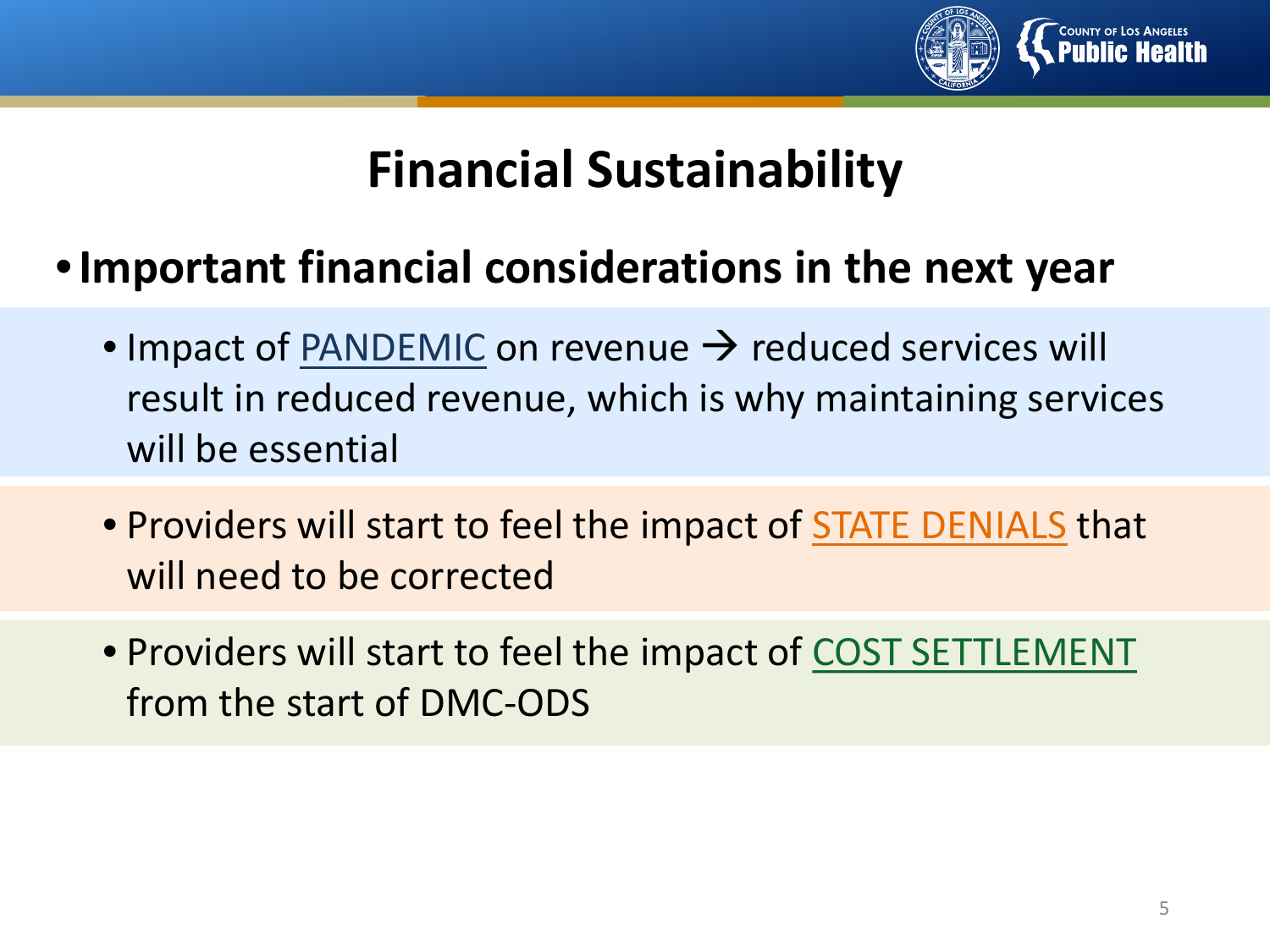

# **Financial Sustainability**

## •**Important financial considerations in the next year**

- Impact of PANDEMIC on revenue  $\rightarrow$  reduced services will result in reduced revenue, which is why maintaining services will be essential
- Providers will start to feel the impact of STATE DENIALS that will need to be corrected
- Providers will start to feel the impact of COST SETTLEMENT from the start of DMC-ODS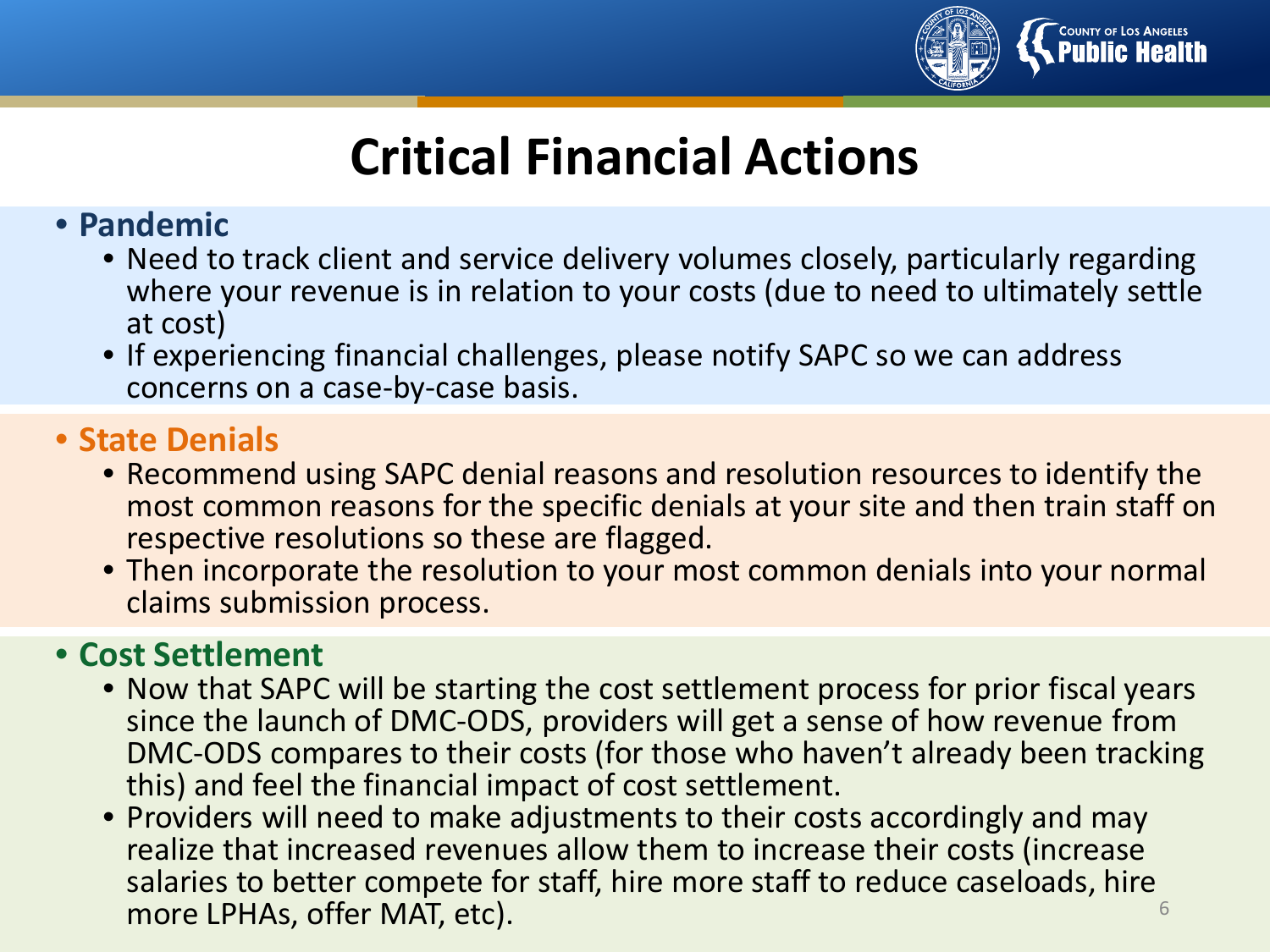

# **Critical Financial Actions**

## • **Pandemic**

- Need to track client and service delivery volumes closely, particularly regarding where your revenue is in relation to your costs (due to need to ultimately settle at cost)
- If experiencing financial challenges, please notify SAPC so we can address concerns on a case-by-case basis.

## • **State Denials**

- Recommend using SAPC denial reasons and resolution resources to identify the most common reasons for the specific denials at your site and then train staff on respective resolutions so these are flagged.
- Then incorporate the resolution to your most common denials into your normal claims submission process.

## • **Cost Settlement**

- Now that SAPC will be starting the cost settlement process for prior fiscal years since the launch of DMC-ODS, providers will get a sense of how revenue from DMC-ODS compares to their costs (for those who haven't already been tracking this) and feel the financial impact of cost settlement.
- Providers will need to make adjustments to their costs accordingly and may realize that increased revenues allow them to increase their costs (increase salaries to better compete for staff, hire more staff to reduce caseloads, hire more LPHAs, offer MAT, etc). The contraction of the contraction of the contraction of the contraction of the contraction of the contraction of the contraction of the contraction of the contraction of the contraction of the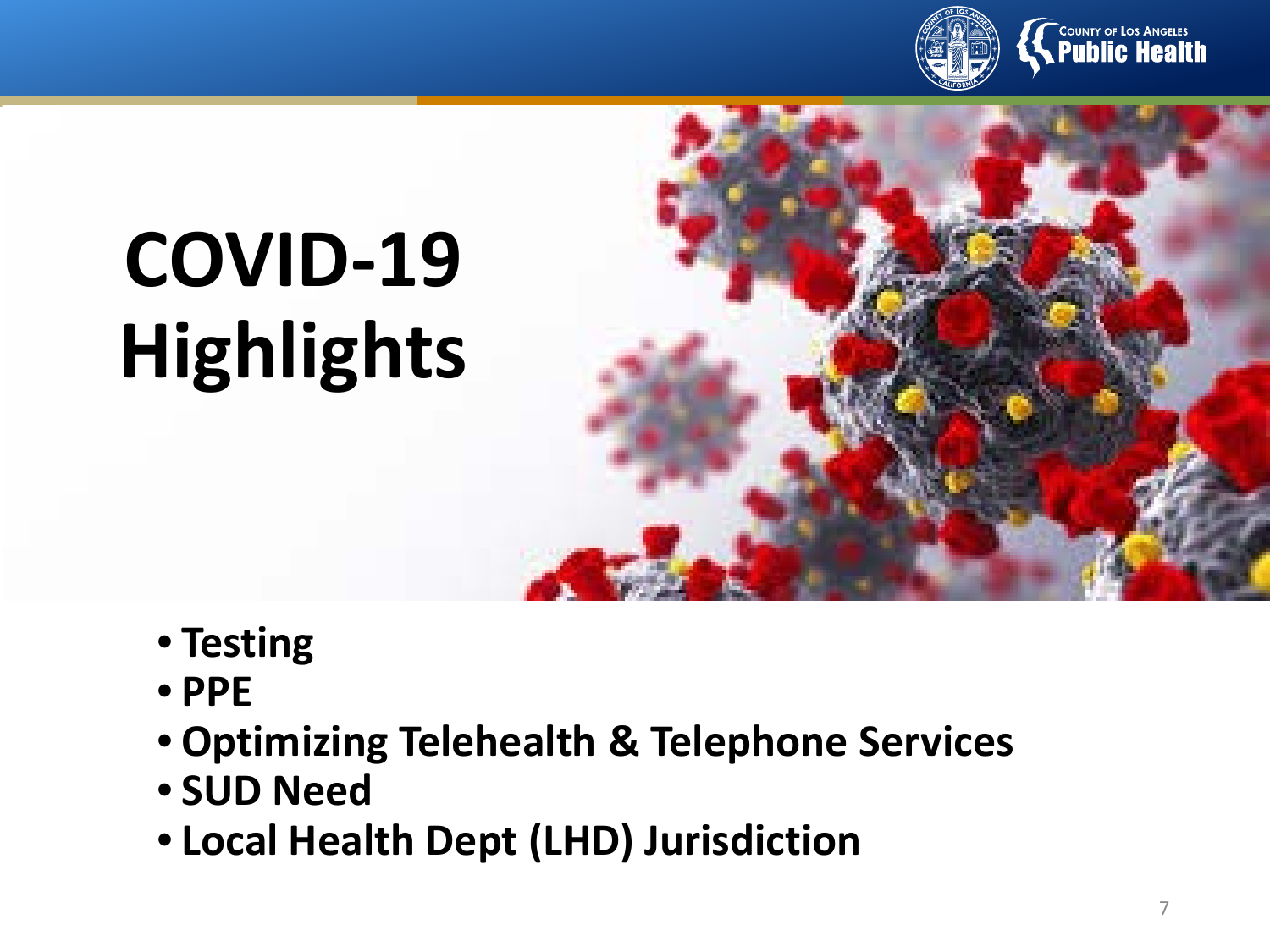

# <sup>"COUNTY OF LOS ANGELES</sup><br>. Public Health

# **COVID-19 Highlights**

- **Testing**
	- **PPE**
- **Optimizing Telehealth & Telephone Services**
- **SUD Need**
- **Local Health Dept (LHD) Jurisdiction**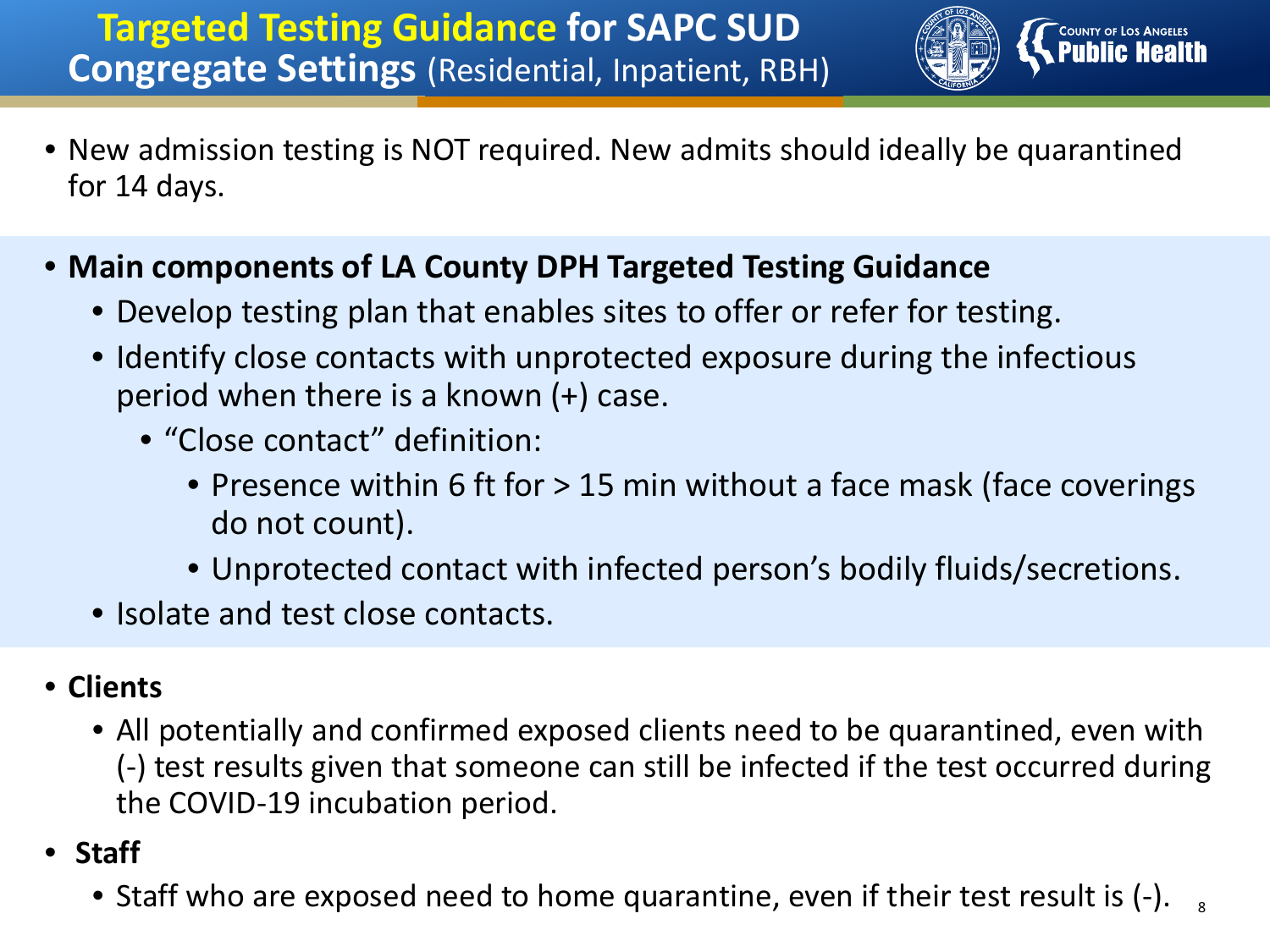## **Targeted Testing Guidance for SAPC SUD Congregate Settings** (Residential, Inpatient, RBH)



- New admission testing is NOT required. New admits should ideally be quarantined for 14 days.
- **Main components of LA County DPH Targeted Testing Guidance**
	- Develop testing plan that enables sites to offer or refer for testing.
	- Identify close contacts with unprotected exposure during the infectious period when there is a known (+) case.
		- "Close contact" definition:
			- Presence within 6 ft for > 15 min without a face mask (face coverings do not count).
			- Unprotected contact with infected person's bodily fluids/secretions.
	- Isolate and test close contacts.

## • **Clients**

- All potentially and confirmed exposed clients need to be quarantined, even with (-) test results given that someone can still be infected if the test occurred during the COVID-19 incubation period.
- **Staff**
	- Staff who are exposed need to home quarantine, even if their test result is  $(-)$ .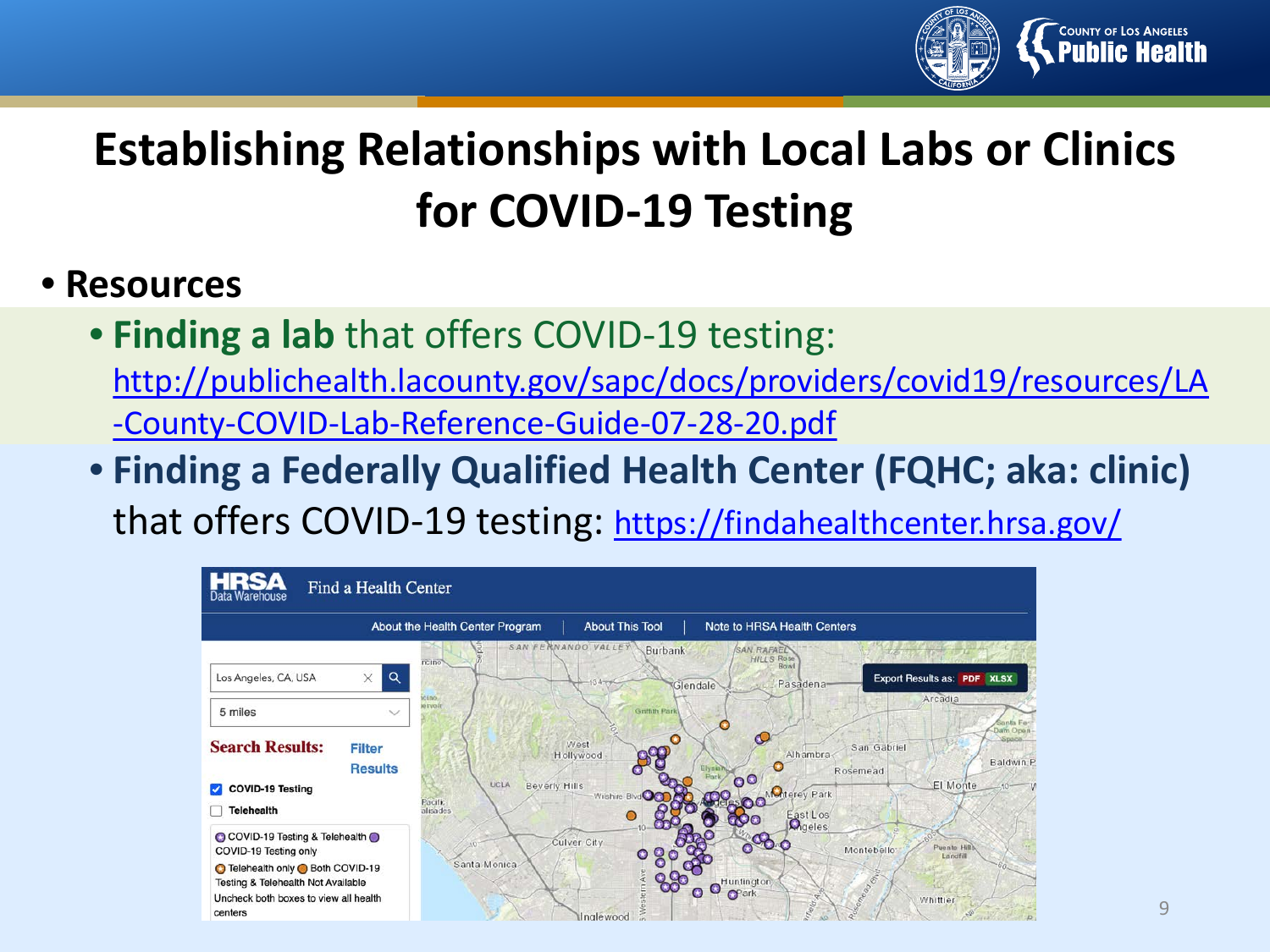

# **Establishing Relationships with Local Labs or Clinics for COVID-19 Testing**

## • **Resources**

- **Finding a lab** that offers COVID-19 testing: [http://publichealth.lacounty.gov/sapc/docs/providers/covid19/resources/LA](http://publichealth.lacounty.gov/sapc/docs/providers/covid19/resources/LA-County-COVID-Lab-Reference-Guide-07-28-20.pdf) -County-COVID-Lab-Reference-Guide-07-28-20.pdf
- **Finding a Federally Qualified Health Center (FQHC; aka: clinic)**  that offers COVID-19 testing:<https://findahealthcenter.hrsa.gov/>

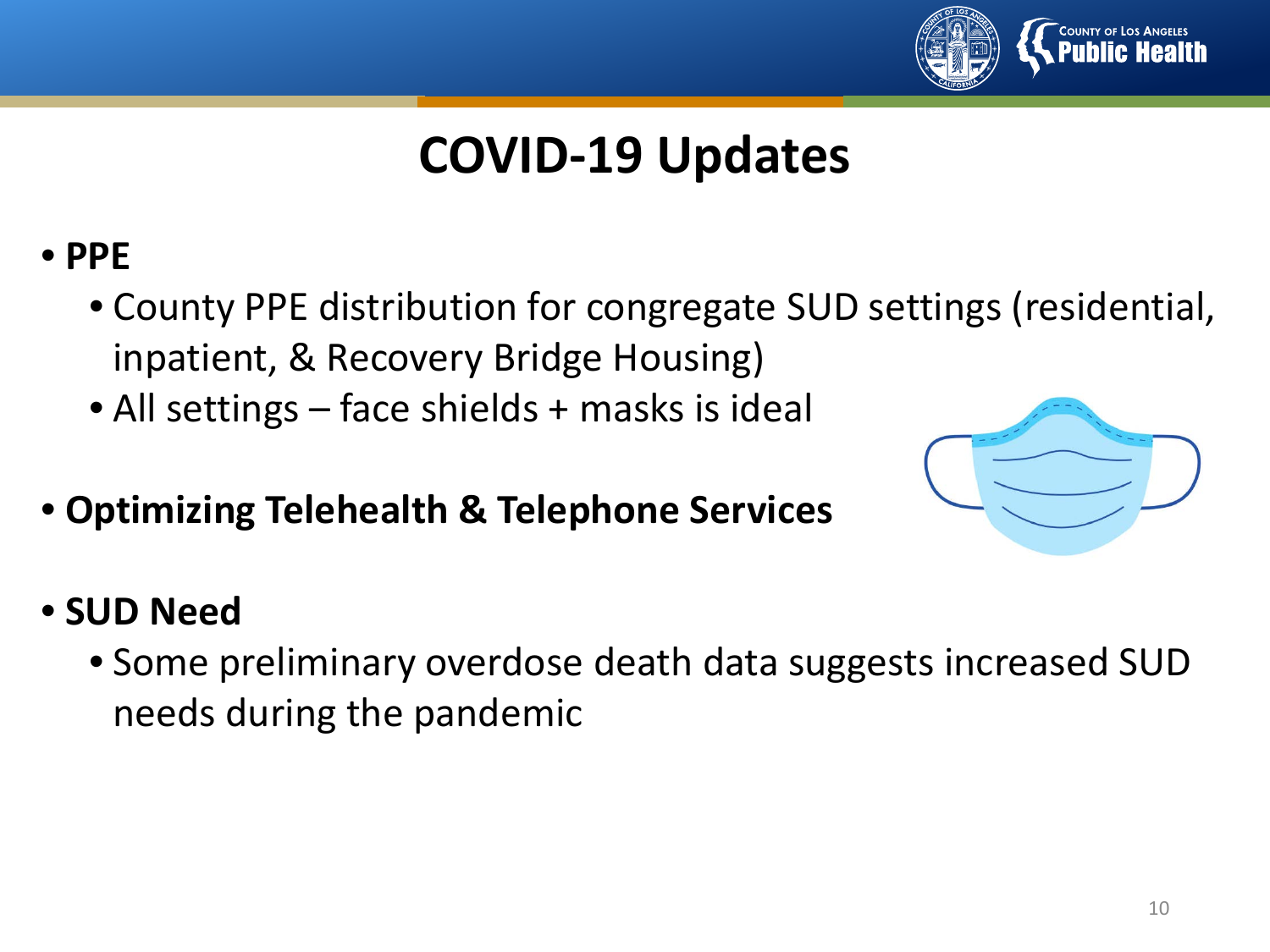

# **COVID-19 Updates**

- **PPE**
	- County PPE distribution for congregate SUD settings (residential, inpatient, & Recovery Bridge Housing)
	- All settings face shields + masks is ideal
- **Optimizing Telehealth & Telephone Services**



- **SUD Need**
	- Some preliminary overdose death data suggests increased SUD needs during the pandemic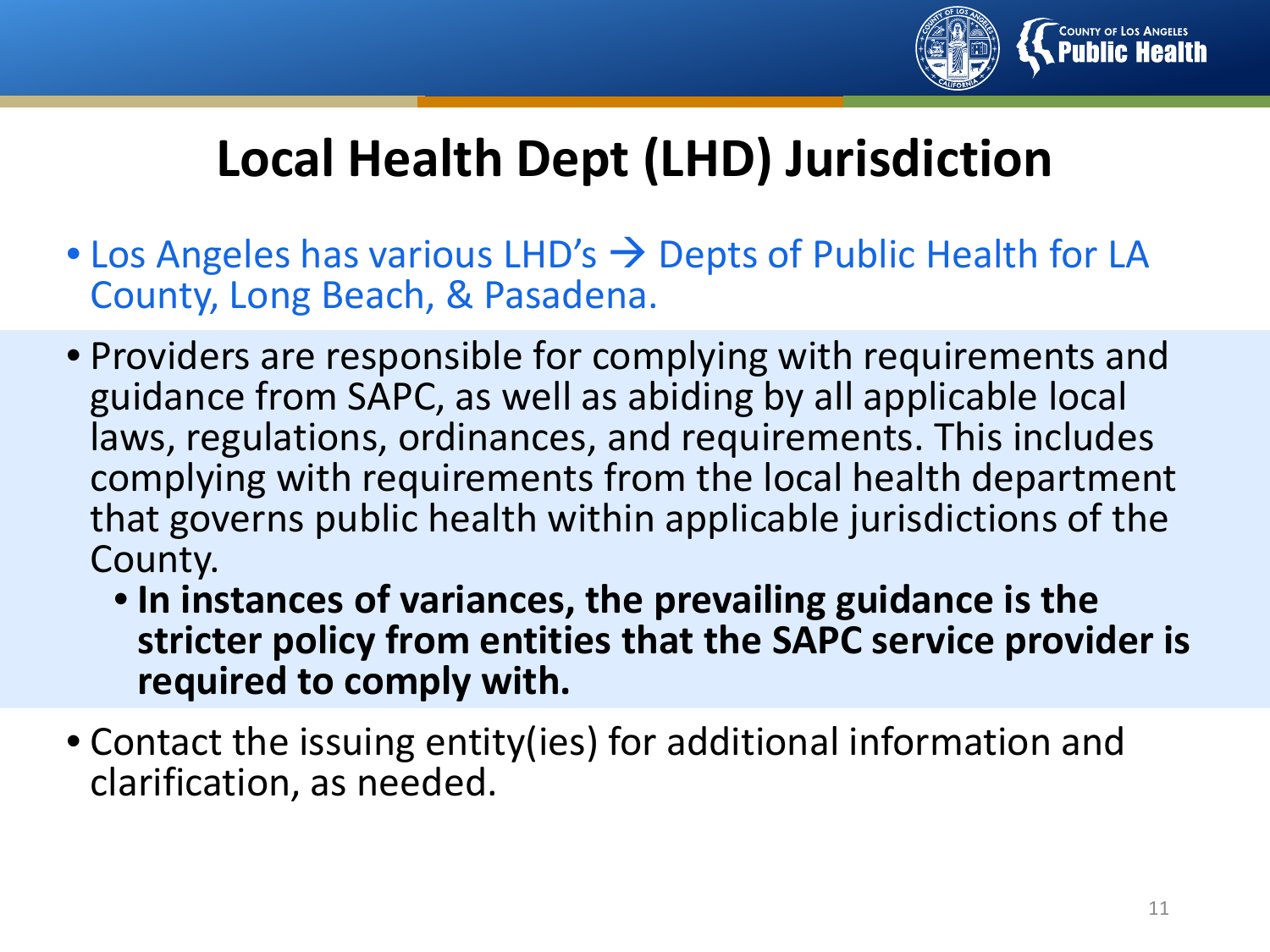

# **Local Health Dept (LHD) Jurisdiction**

- Los Angeles has various LHD's  $\rightarrow$  Depts of Public Health for LA County, Long Beach, & Pasadena.
- Providers are responsible for complying with requirements and guidance from SAPC, as well as abiding by all applicable local laws, regulations, ordinances, and requirements. This includes complying with requirements from the local health department that governs public health within applicable jurisdictions of the County.
	- **In instances of variances, the prevailing guidance is the stricter policy from entities that the SAPC service provider is required to comply with.**
- Contact the issuing entity(ies) for additional information and clarification, as needed.